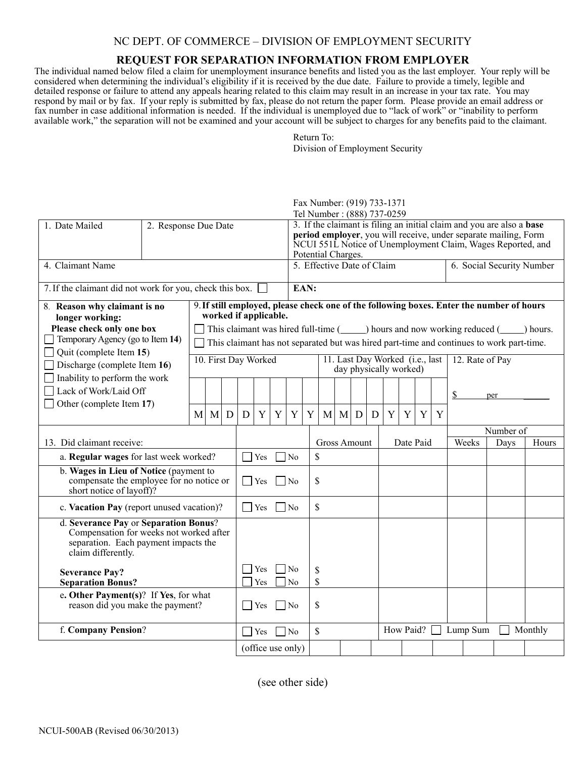## NC DEPT. OF COMMERCE – DIVISION OF EMPLOYMENT SECURITY

## **REQUEST FOR SEPARATION INFORMATION FROM EMPLOYER**

The individual named below filed a claim for unemployment insurance benefits and listed you as the last employer. Your reply will be considered when determining the individual's eligibility if it is received by the due date. Failure to provide a timely, legible and detailed response or failure to attend any appeals hearing related to this claim may result in an increase in your tax rate. You may respond by mail or by fax. If your reply is submitted by fax, please do not return the paper form. Please provide an email address or fax number in case additional information is needed. If the individual is unemployed due to "lack of work" or "inability to perform available work," the separation will not be examined and your account will be subject to charges for any benefits paid to the claimant.

> Return To: Division of Employment Security

|                                                                                                                                                |                      |   |                                                                                                                                                                                                                                                                                                         |             |            |                                  | Fax Number: (919) 733-1371<br>Tel Number: (888) 737-0259 |                                                                                                                                                                                                                                      |    |   |   |                                                           |             |   |                           |      |                 |                    |     |  |  |  |  |
|------------------------------------------------------------------------------------------------------------------------------------------------|----------------------|---|---------------------------------------------------------------------------------------------------------------------------------------------------------------------------------------------------------------------------------------------------------------------------------------------------------|-------------|------------|----------------------------------|----------------------------------------------------------|--------------------------------------------------------------------------------------------------------------------------------------------------------------------------------------------------------------------------------------|----|---|---|-----------------------------------------------------------|-------------|---|---------------------------|------|-----------------|--------------------|-----|--|--|--|--|
| 1. Date Mailed                                                                                                                                 | 2. Response Due Date |   |                                                                                                                                                                                                                                                                                                         |             |            |                                  |                                                          | 3. If the claimant is filing an initial claim and you are also a <b>base</b><br>period employer, you will receive, under separate mailing, Form<br>NCUI 551L Notice of Unemployment Claim, Wages Reported, and<br>Potential Charges. |    |   |   |                                                           |             |   |                           |      |                 |                    |     |  |  |  |  |
| 4. Claimant Name                                                                                                                               |                      |   |                                                                                                                                                                                                                                                                                                         |             |            | 5. Effective Date of Claim       |                                                          |                                                                                                                                                                                                                                      |    |   |   |                                                           |             |   | 6. Social Security Number |      |                 |                    |     |  |  |  |  |
| 7. If the claimant did not work for you, check this box.                                                                                       |                      |   |                                                                                                                                                                                                                                                                                                         |             |            | EAN:                             |                                                          |                                                                                                                                                                                                                                      |    |   |   |                                                           |             |   |                           |      |                 |                    |     |  |  |  |  |
| 8. Reason why claimant is no<br>longer working:<br>Please check only one box<br>Temporary Agency (go to Item 14)                               |                      |   | 9. If still employed, please check one of the following boxes. Enter the number of hours<br>worked if applicable.<br>This claimant was hired full-time $($ $)$ hours and now working reduced $($ $)$ hours.<br>This claimant has not separated but was hired part-time and continues to work part-time. |             |            |                                  |                                                          |                                                                                                                                                                                                                                      |    |   |   |                                                           |             |   |                           |      |                 |                    |     |  |  |  |  |
| Quit (complete Item 15)<br>Discharge (complete Item 16)                                                                                        | 10. First Day Worked |   |                                                                                                                                                                                                                                                                                                         |             |            |                                  |                                                          |                                                                                                                                                                                                                                      |    |   |   | 11. Last Day Worked (i.e., last<br>day physically worked) |             |   |                           |      | 12. Rate of Pay |                    |     |  |  |  |  |
| Inability to perform the work<br>Lack of Work/Laid Off                                                                                         |                      |   |                                                                                                                                                                                                                                                                                                         |             |            |                                  |                                                          |                                                                                                                                                                                                                                      |    |   |   |                                                           |             |   |                           |      |                 | S                  | per |  |  |  |  |
| Other (complete Item 17)                                                                                                                       |                      | M | M                                                                                                                                                                                                                                                                                                       | $\mathbf D$ | D          | Y                                | Y                                                        | Y                                                                                                                                                                                                                                    | Y  | M | M | D                                                         | $\mathbf D$ | Y | Y                         | Y    | Y               |                    |     |  |  |  |  |
|                                                                                                                                                |                      |   |                                                                                                                                                                                                                                                                                                         |             |            |                                  |                                                          |                                                                                                                                                                                                                                      |    |   |   |                                                           | Date Paid   |   |                           |      |                 | Number of<br>Weeks |     |  |  |  |  |
| 13. Did claimant receive:<br>a. Regular wages for last week worked?                                                                            |                      |   |                                                                                                                                                                                                                                                                                                         | $\Box$      | Yes        |                                  | $\overline{N_0}$                                         | <b>Gross Amount</b><br>\$                                                                                                                                                                                                            |    |   |   |                                                           |             |   |                           | Days |                 | Hours              |     |  |  |  |  |
| b. Wages in Lieu of Notice (payment to<br>compensate the employee for no notice or<br>short notice of layoff)?                                 |                      |   |                                                                                                                                                                                                                                                                                                         | П           | Yes        |                                  | \$<br>$\overline{N_0}$                                   |                                                                                                                                                                                                                                      |    |   |   |                                                           |             |   |                           |      |                 |                    |     |  |  |  |  |
| c. Vacation Pay (report unused vacation)?                                                                                                      |                      |   |                                                                                                                                                                                                                                                                                                         |             | $\Box$ Yes |                                  | l No                                                     |                                                                                                                                                                                                                                      | \$ |   |   |                                                           |             |   |                           |      |                 |                    |     |  |  |  |  |
| d. Severance Pay or Separation Bonus?<br>Compensation for weeks not worked after<br>separation. Each payment impacts the<br>claim differently. |                      |   |                                                                                                                                                                                                                                                                                                         |             |            |                                  |                                                          |                                                                                                                                                                                                                                      |    |   |   |                                                           |             |   |                           |      |                 |                    |     |  |  |  |  |
| <b>Severance Pay?</b><br><b>Separation Bonus?</b>                                                                                              |                      |   |                                                                                                                                                                                                                                                                                                         | Yes<br>Yes  |            | No<br>\$<br>\$<br>N <sub>0</sub> |                                                          |                                                                                                                                                                                                                                      |    |   |   |                                                           |             |   |                           |      |                 |                    |     |  |  |  |  |
| e. Other Payment(s)? If Yes, for what<br>reason did you make the payment?                                                                      |                      |   |                                                                                                                                                                                                                                                                                                         | $\Box$      | Yes        |                                  | \$<br>N <sub>0</sub>                                     |                                                                                                                                                                                                                                      |    |   |   |                                                           |             |   |                           |      |                 |                    |     |  |  |  |  |
| f. Company Pension?                                                                                                                            |                      |   |                                                                                                                                                                                                                                                                                                         |             | $\Box$ Yes |                                  | l No                                                     | \$                                                                                                                                                                                                                                   |    |   |   | How Paid? [ Lump Sum                                      |             |   |                           |      | Monthly         |                    |     |  |  |  |  |
|                                                                                                                                                |                      |   |                                                                                                                                                                                                                                                                                                         |             |            | (office use only)                |                                                          |                                                                                                                                                                                                                                      |    |   |   |                                                           |             |   |                           |      |                 |                    |     |  |  |  |  |

(see other side)